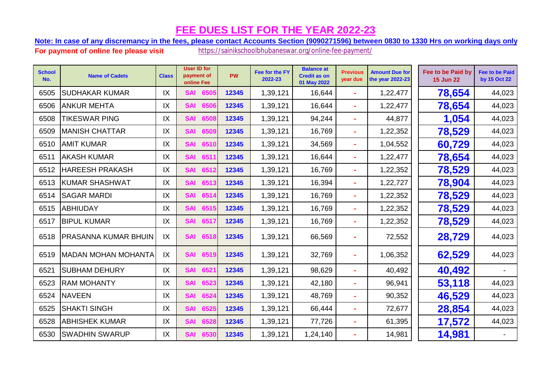**Note: In case of any discremancy in the fees, please contact Accounts Section (9090271596) between 0830 to 1330 Hrs on working days only.**

| <b>School</b><br>No. | <b>Name of Cadets</b>       | <b>Class</b> | <b>User ID for</b><br>payment of<br>online Fee | <b>PW</b> | Fee for the FY<br>2022-23 | <b>Balance at</b><br><b>Credit as on</b><br>01 May 2022 | <b>Previous</b><br>year due | <b>Amount Due for</b><br>the year 2022-23 | Fee to be Paid by<br><b>15 Jun 22</b> | <b>Fee to be Paid</b><br>by 15 Oct 22 |
|----------------------|-----------------------------|--------------|------------------------------------------------|-----------|---------------------------|---------------------------------------------------------|-----------------------------|-------------------------------------------|---------------------------------------|---------------------------------------|
| 6505                 | <b>SUDHAKAR KUMAR</b>       | IX           | 6505<br><b>SAI</b>                             | 12345     | 1,39,121                  | 16,644                                                  | ÷.                          | 1,22,477                                  | 78,654                                | 44,023                                |
| 6506                 | <b>ANKUR MEHTA</b>          | IX           | <b>SAI</b><br>6506                             | 12345     | 1,39,121                  | 16,644                                                  |                             | 1,22,477                                  | 78,654                                | 44,023                                |
| 6508                 | <b>TIKESWAR PING</b>        | IX           | <b>SAI</b><br>650                              | 12345     | 1,39,121                  | 94,244                                                  | ٠                           | 44,877                                    | 1,054                                 | 44,023                                |
| 6509                 | <b>MANISH CHATTAR</b>       | IX           | 6509<br><b>SAI</b>                             | 12345     | 1,39,121                  | 16,769                                                  |                             | 1,22,352                                  | 78,529                                | 44,023                                |
| 6510                 | <b>AMIT KUMAR</b>           | IX           | <b>SAI</b><br>6510                             | 12345     | 1,39,121                  | 34,569                                                  | $\blacksquare$              | 1,04,552                                  | 60,729                                | 44,023                                |
| 6511                 | <b>AKASH KUMAR</b>          | IX           | <b>SAI</b><br>6511                             | 12345     | 1,39,121                  | 16,644                                                  |                             | 1,22,477                                  | 78,654                                | 44,023                                |
| 6512                 | <b>HAREESH PRAKASH</b>      | IX           | <b>SAI</b><br>6512                             | 12345     | 1,39,121                  | 16,769                                                  | $\blacksquare$              | 1,22,352                                  | 78,529                                | 44,023                                |
| 6513                 | <b>KUMAR SHASHWAT</b>       | IX           | <b>SAI</b><br>6513                             | 12345     | 1,39,121                  | 16,394                                                  | $\blacksquare$              | 1,22,727                                  | 78,904                                | 44,023                                |
| 6514                 | <b>SAGAR MARDI</b>          | IX           | <b>SAI</b><br>6514                             | 12345     | 1,39,121                  | 16,769                                                  | $\blacksquare$              | 1,22,352                                  | 78,529                                | 44,023                                |
| 6515                 | <b>ABHIUDAY</b>             | IX           | <b>SAI</b><br>6515                             | 12345     | 1,39,121                  | 16,769                                                  | $\sim$                      | 1,22,352                                  | 78,529                                | 44,023                                |
| 6517                 | <b>BIPUL KUMAR</b>          | IX           | <b>SAI</b><br>6517                             | 12345     | 1,39,121                  | 16,769                                                  | ×.                          | 1,22,352                                  | 78,529                                | 44,023                                |
| 6518                 | <b>PRASANNA KUMAR BHUIN</b> | IX           | <b>SAI</b><br>6518                             | 12345     | 1,39,121                  | 66,569                                                  |                             | 72,552                                    | 28,729                                | 44,023                                |
| 6519                 | <b>MADAN MOHAN MOHANTA</b>  | IX           | 6519<br><b>SAI</b>                             | 12345     | 1,39,121                  | 32,769                                                  | $\sim$                      | 1,06,352                                  | 62,529                                | 44,023                                |
| 6521                 | <b>SUBHAM DEHURY</b>        | IX           | <b>SAI</b><br>6521                             | 12345     | 1,39,121                  | 98,629                                                  | ÷.                          | 40,492                                    | 40,492                                |                                       |
| 6523                 | <b>RAM MOHANTY</b>          | IX           | 6523<br><b>SAI</b>                             | 12345     | 1,39,121                  | 42,180                                                  | $\blacksquare$              | 96,941                                    | 53,118                                | 44,023                                |
| 6524                 | <b>NAVEEN</b>               | IX           | 6524<br><b>SAI</b>                             | 12345     | 1,39,121                  | 48,769                                                  | $\blacksquare$              | 90,352                                    | 46,529                                | 44,023                                |
| 6525                 | <b>SHAKTI SINGH</b>         | IX           | 6525<br><b>SAI</b>                             | 12345     | 1,39,121                  | 66,444                                                  |                             | 72,677                                    | 28,854                                | 44,023                                |
| 6528                 | <b>ABHISHEK KUMAR</b>       | IX           | <b>SAI</b><br>6528                             | 12345     | 1,39,121                  | 77,726                                                  | $\blacksquare$              | 61,395                                    | 17,572                                | 44,023                                |
| 6530                 | <b>SWADHIN SWARUP</b>       | IX           | <b>SAI</b><br>6530                             | 12345     | 1,39,121                  | 1,24,140                                                | ÷.                          | 14,981                                    | 14,981                                |                                       |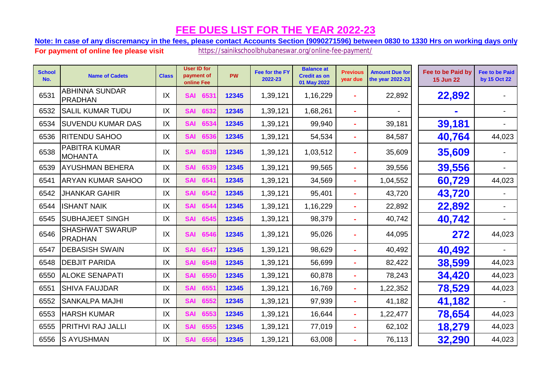**Note: In case of any discremancy in the fees, please contact Accounts Section (9090271596) between 0830 to 1330 Hrs on working days only.**

| <b>School</b><br>No. | <b>Name of Cadets</b>                    | <b>Class</b> | <b>User ID for</b><br>payment of<br>online Fee | <b>PW</b> | Fee for the FY<br>2022-23 | <b>Balance at</b><br><b>Credit as on</b><br>01 May 2022 | <b>Previous</b><br>year due | <b>Amount Due for</b><br>the year 2022-23 | Fee to be Paid by<br><b>15 Jun 22</b> | <b>Fee to be Paid</b><br>by 15 Oct 22 |
|----------------------|------------------------------------------|--------------|------------------------------------------------|-----------|---------------------------|---------------------------------------------------------|-----------------------------|-------------------------------------------|---------------------------------------|---------------------------------------|
| 6531                 | <b>ABHINNA SUNDAR</b><br>PRADHAN         | IX           | 6531<br><b>SAI</b>                             | 12345     | 1,39,121                  | 1,16,229                                                |                             | 22,892                                    | 22,892                                |                                       |
| 6532                 | <b>SALIL KUMAR TUDU</b>                  | IX           | 6532<br><b>SAI</b>                             | 12345     | 1,39,121                  | 1,68,261                                                |                             |                                           | $\mathbf{r}$                          |                                       |
| 6534                 | <b>SUVENDU KUMAR DAS</b>                 | IX           | <b>SAI</b><br>6534                             | 12345     | 1,39,121                  | 99,940                                                  |                             | 39,181                                    | 39,181                                |                                       |
| 6536                 | <b>RITENDU SAHOO</b>                     | IX           | <b>SAI</b><br>6536                             | 12345     | 1,39,121                  | 54,534                                                  |                             | 84,587                                    | 40,764                                | 44,023                                |
| 6538                 | <b>PABITRA KUMAR</b><br>MOHANTA          | IX           | 6538<br><b>SAI</b>                             | 12345     | 1,39,121                  | 1,03,512                                                |                             | 35,609                                    | 35,609                                |                                       |
| 6539                 | <b>AYUSHMAN BEHERA</b>                   | IX           | 6539<br><b>SAI</b>                             | 12345     | 1,39,121                  | 99,565                                                  | ÷.                          | 39,556                                    | 39,556                                |                                       |
| 6541                 | <b>ARYAN KUMAR SAHOO</b>                 | IX           | <b>SAI</b><br>6541                             | 12345     | 1,39,121                  | 34,569                                                  | ÷                           | 1,04,552                                  | 60,729                                | 44,023                                |
| 6542                 | <b>JHANKAR GAHIR</b>                     | IX           | <b>SAI</b><br>6542                             | 12345     | 1,39,121                  | 95,401                                                  |                             | 43,720                                    | 43,720                                |                                       |
| 6544                 | <b>ISHANT NAIK</b>                       | IX           | 6544<br><b>SAI</b>                             | 12345     | 1,39,121                  | 1,16,229                                                |                             | 22,892                                    | 22,892                                |                                       |
| 6545                 | <b>SUBHAJEET SINGH</b>                   | IX           | <b>SAI</b><br>6545                             | 12345     | 1,39,121                  | 98,379                                                  |                             | 40,742                                    | 40,742                                |                                       |
| 6546                 | <b>SHASHWAT SWARUP</b><br><b>PRADHAN</b> | IX           | 6546<br><b>SAI</b>                             | 12345     | 1,39,121                  | 95,026                                                  |                             | 44,095                                    | 272                                   | 44,023                                |
| 6547                 | <b>DEBASISH SWAIN</b>                    | IX           | 6547<br><b>SAI</b>                             | 12345     | 1,39,121                  | 98,629                                                  |                             | 40,492                                    | 40,492                                |                                       |
| 6548                 | <b>DEBJIT PARIDA</b>                     | IX           | 654<br><b>SAI</b>                              | 12345     | 1,39,121                  | 56,699                                                  |                             | 82,422                                    | 38,599                                | 44,023                                |
| 6550                 | <b>ALOKE SENAPATI</b>                    | IX           | 6550<br><b>SAI</b>                             | 12345     | 1,39,121                  | 60,878                                                  |                             | 78,243                                    | 34,420                                | 44,023                                |
| 6551                 | <b>SHIVA FAUJDAR</b>                     | IX           | <b>SAI</b><br>6551                             | 12345     | 1,39,121                  | 16,769                                                  |                             | 1,22,352                                  | 78,529                                | 44,023                                |
| 6552                 | <b>SANKALPA MAJHI</b>                    | IX           | <b>SAI</b><br>6552                             | 12345     | 1,39,121                  | 97,939                                                  | ×.                          | 41,182                                    | 41,182                                |                                       |
| 6553                 | <b>HARSH KUMAR</b>                       | IX           | <b>SAI</b><br>6553                             | 12345     | 1,39,121                  | 16,644                                                  |                             | 1,22,477                                  | 78,654                                | 44,023                                |
| 6555                 | <b>PRITHVI RAJ JALLI</b>                 | IX           | 6555<br><b>SAI</b>                             | 12345     | 1,39,121                  | 77,019                                                  |                             | 62,102                                    | 18,279                                | 44,023                                |
| 6556                 | <b>S AYUSHMAN</b>                        | IX           | 6556<br><b>SAI</b>                             | 12345     | 1,39,121                  | 63,008                                                  |                             | 76,113                                    | 32,290                                | 44,023                                |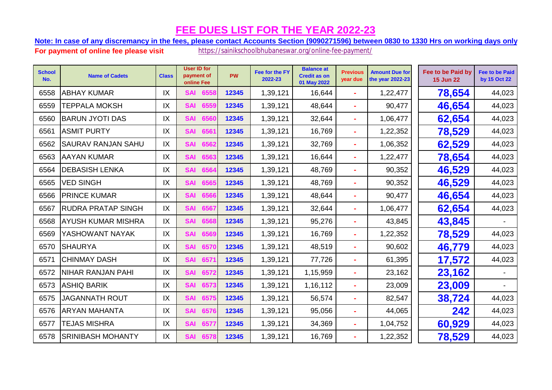**Note: In case of any discremancy in the fees, please contact Accounts Section (9090271596) between 0830 to 1330 Hrs on working days only.**

| <b>School</b><br>No. | <b>Name of Cadets</b>     | <b>Class</b> | <b>User ID for</b><br>payment of<br>online Fee | <b>PW</b> | Fee for the FY<br>2022-23 | <b>Balance at</b><br><b>Credit as on</b><br>01 May 2022 | <b>Previous</b><br>year due | <b>Amount Due for</b><br>the year 2022-23 | Fee to be Paid by<br><b>15 Jun 22</b> | <b>Fee to be Paid</b><br>by 15 Oct 22 |
|----------------------|---------------------------|--------------|------------------------------------------------|-----------|---------------------------|---------------------------------------------------------|-----------------------------|-------------------------------------------|---------------------------------------|---------------------------------------|
| 6558                 | <b>ABHAY KUMAR</b>        | IX           | 6558<br><b>SAI</b>                             | 12345     | 1,39,121                  | 16,644                                                  | ÷.                          | 1,22,477                                  | 78,654                                | 44,023                                |
| 6559                 | TEPPALA MOKSH             | IX           | 6559<br><b>SAI</b>                             | 12345     | 1,39,121                  | 48,644                                                  |                             | 90,477                                    | 46,654                                | 44,023                                |
| 6560                 | <b>BARUN JYOTI DAS</b>    | IX           | <b>SAI</b><br>6560                             | 12345     | 1,39,121                  | 32,644                                                  | ÷                           | 1,06,477                                  | 62,654                                | 44,023                                |
| 6561                 | <b>ASMIT PURTY</b>        | IX           | 6561<br><b>SAI</b>                             | 12345     | 1,39,121                  | 16,769                                                  | ÷                           | 1,22,352                                  | 78,529                                | 44,023                                |
| 6562                 | <b>SAURAV RANJAN SAHU</b> | IX           | 6562<br><b>SAI</b>                             | 12345     | 1,39,121                  | 32,769                                                  | ÷                           | 1,06,352                                  | 62,529                                | 44,023                                |
| 6563                 | <b>AAYAN KUMAR</b>        | IX           | 6563<br><b>SAI</b>                             | 12345     | 1,39,121                  | 16,644                                                  | ٠                           | 1,22,477                                  | 78,654                                | 44,023                                |
| 6564                 | <b>DEBASISH LENKA</b>     | IX           | <b>SAI</b><br>6564                             | 12345     | 1,39,121                  | 48,769                                                  |                             | 90,352                                    | 46,529                                | 44,023                                |
| 6565                 | <b>VED SINGH</b>          | IX           | <b>SAI</b><br>6565                             | 12345     | 1,39,121                  | 48,769                                                  | ٠                           | 90,352                                    | 46,529                                | 44,023                                |
| 6566                 | <b>PRINCE KUMAR</b>       | IX           | <b>SAI</b><br>6566                             | 12345     | 1,39,121                  | 48,644                                                  |                             | 90,477                                    | 46,654                                | 44,023                                |
| 6567                 | RUDRA PRATAP SINGH        | IX           | <b>SAI</b><br>6567                             | 12345     | 1,39,121                  | 32,644                                                  | ٠                           | 1,06,477                                  | 62,654                                | 44,023                                |
| 6568                 | <b>AYUSH KUMAR MISHRA</b> | IX           | <b>SAI</b><br>6568                             | 12345     | 1,39,121                  | 95,276                                                  |                             | 43,845                                    | 43,845                                |                                       |
| 6569                 | YASHOWANT NAYAK           | IX           | <b>SAI</b><br>6569                             | 12345     | 1,39,121                  | 16,769                                                  | ۰                           | 1,22,352                                  | 78,529                                | 44,023                                |
| 6570                 | <b>SHAURYA</b>            | IX           | <b>SAI</b><br>6570                             | 12345     | 1,39,121                  | 48,519                                                  | ٠                           | 90,602                                    | 46,779                                | 44,023                                |
| 6571                 | <b>CHINMAY DASH</b>       | IX           | <b>SAI</b><br>657                              | 12345     | 1,39,121                  | 77,726                                                  | ÷                           | 61,395                                    | 17,572                                | 44,023                                |
| 6572                 | <b>NIHAR RANJAN PAHI</b>  | IX           | <b>SAI</b><br>657                              | 12345     | 1,39,121                  | 1,15,959                                                |                             | 23,162                                    | 23,162                                |                                       |
| 6573                 | <b>ASHIQ BARIK</b>        | IX           | <b>SAI</b><br>6573                             | 12345     | 1,39,121                  | 1,16,112                                                |                             | 23,009                                    | 23,009                                |                                       |
| 6575                 | <b>JAGANNATH ROUT</b>     | IX           | <b>SAI</b><br>6575                             | 12345     | 1,39,121                  | 56,574                                                  | ÷.                          | 82,547                                    | 38,724                                | 44,023                                |
| 6576                 | <b>ARYAN MAHANTA</b>      | IX           | <b>SAI</b><br>6576                             | 12345     | 1,39,121                  | 95,056                                                  |                             | 44,065                                    | 242                                   | 44,023                                |
| 6577                 | <b>TEJAS MISHRA</b>       | IX           | <b>SAI</b><br>6577                             | 12345     | 1,39,121                  | 34,369                                                  | ÷                           | 1,04,752                                  | 60,929                                | 44,023                                |
| 6578                 | <b>SRINIBASH MOHANTY</b>  | IX           | <b>SAI</b><br>657                              | 12345     | 1,39,121                  | 16,769                                                  | ÷                           | 1,22,352                                  | 78,529                                | 44,023                                |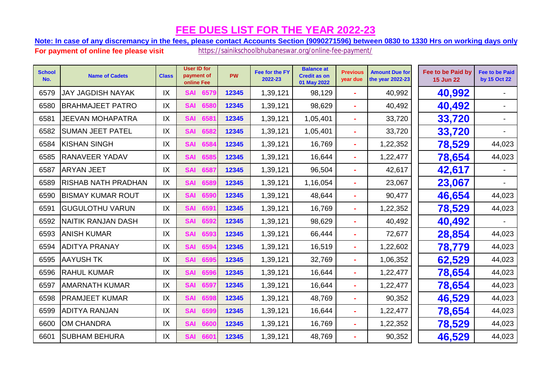**Note: In case of any discremancy in the fees, please contact Accounts Section (9090271596) between 0830 to 1330 Hrs on working days only.**

| <b>School</b><br>No. | <b>Name of Cadets</b>      | <b>Class</b> | <b>User ID for</b><br>payment of<br>online Fee | <b>PW</b> | Fee for the FY<br>2022-23 | <b>Balance at</b><br><b>Credit as on</b><br>01 May 2022 | <b>Previous</b><br>year due | <b>Amount Due for</b><br>the year 2022-23 | Fee to be Paid by<br><b>15 Jun 22</b> | <b>Fee to be Paid</b><br>by 15 Oct 22 |
|----------------------|----------------------------|--------------|------------------------------------------------|-----------|---------------------------|---------------------------------------------------------|-----------------------------|-------------------------------------------|---------------------------------------|---------------------------------------|
| 6579                 | <b>JAY JAGDISH NAYAK</b>   | IX           | 6579<br><b>SAI</b>                             | 12345     | 1,39,121                  | 98,129                                                  |                             | 40,992                                    | 40,992                                |                                       |
| 6580                 | <b>BRAHMAJEET PATRO</b>    | IX           | <b>SAI</b><br>6580                             | 12345     | 1,39,121                  | 98,629                                                  |                             | 40,492                                    | 40,492                                |                                       |
| 6581                 | <b>JEEVAN MOHAPATRA</b>    | IX           | <b>SAI</b><br>6581                             | 12345     | 1,39,121                  | 1,05,401                                                |                             | 33,720                                    | 33,720                                |                                       |
| 6582                 | <b>SUMAN JEET PATEL</b>    | IX           | 6582<br><b>SAI</b>                             | 12345     | 1,39,121                  | 1,05,401                                                |                             | 33,720                                    | 33,720                                |                                       |
| 6584                 | <b>KISHAN SINGH</b>        | IX           | 658<br><b>SAI</b>                              | 12345     | 1,39,121                  | 16,769                                                  |                             | 1,22,352                                  | 78,529                                | 44,023                                |
| 6585                 | <b>RANAVEER YADAV</b>      | IX           | 6585<br><b>SAI</b>                             | 12345     | 1,39,121                  | 16,644                                                  | ÷                           | 1,22,477                                  | 78,654                                | 44,023                                |
| 6587                 | <b>ARYAN JEET</b>          | IX           | <b>SAI</b><br>6587                             | 12345     | 1,39,121                  | 96,504                                                  | ÷                           | 42,617                                    | 42,617                                |                                       |
| 6589                 | <b>RISHAB NATH PRADHAN</b> | IX           | <b>SAI</b><br><b>6589</b>                      | 12345     | 1,39,121                  | 1,16,054                                                |                             | 23,067                                    | 23,067                                |                                       |
| 6590                 | <b>BISMAY KUMAR ROUT</b>   | IX           | <b>SAI</b><br>6590                             | 12345     | 1,39,121                  | 48,644                                                  |                             | 90,477                                    | 46,654                                | 44,023                                |
| 6591                 | <b>GUGULOTHU VARUN</b>     | IX           | <b>SAI</b><br>659'                             | 12345     | 1,39,121                  | 16,769                                                  | ÷                           | 1,22,352                                  | 78,529                                | 44,023                                |
| 6592                 | <b>NAITIK RANJAN DASH</b>  | IX           | 6592<br><b>SAI</b>                             | 12345     | 1,39,121                  | 98,629                                                  |                             | 40,492                                    | 40,492                                |                                       |
| 6593                 | <b>ANISH KUMAR</b>         | IX           | <b>SAI</b><br>6593                             | 12345     | 1,39,121                  | 66,444                                                  |                             | 72,677                                    | 28,854                                | 44,023                                |
| 6594                 | <b>ADITYA PRANAY</b>       | IX           | 659<br><b>SAI</b>                              | 12345     | 1,39,121                  | 16,519                                                  | ۰                           | 1,22,602                                  | 78,779                                | 44,023                                |
| 6595                 | <b>AAYUSH TK</b>           | IX           | 6595<br><b>SAI</b>                             | 12345     | 1,39,121                  | 32,769                                                  | ÷                           | 1,06,352                                  | 62,529                                | 44,023                                |
| 6596                 | <b>RAHUL KUMAR</b>         | IX           | 6596<br><b>SAI</b>                             | 12345     | 1,39,121                  | 16,644                                                  |                             | 1,22,477                                  | 78,654                                | 44,023                                |
| 6597                 | <b>AMARNATH KUMAR</b>      | IX           | <b>SAI</b><br>6597                             | 12345     | 1,39,121                  | 16,644                                                  |                             | 1,22,477                                  | 78,654                                | 44,023                                |
| 6598                 | <b>PRAMJEET KUMAR</b>      | IX           | <b>SAI</b><br>659                              | 12345     | 1,39,121                  | 48,769                                                  |                             | 90,352                                    | 46,529                                | 44,023                                |
| 6599                 | <b>ADITYA RANJAN</b>       | IX           | <b>SAI</b><br>6599                             | 12345     | 1,39,121                  | 16,644                                                  |                             | 1,22,477                                  | 78,654                                | 44,023                                |
| 6600                 | <b>OM CHANDRA</b>          | IX           | <b>SAI</b><br>660                              | 12345     | 1,39,121                  | 16,769                                                  | ÷                           | 1,22,352                                  | 78,529                                | 44,023                                |
| 6601                 | <b>SUBHAM BEHURA</b>       | IX           | <b>SAI</b><br>660'                             | 12345     | 1,39,121                  | 48,769                                                  |                             | 90,352                                    | 46,529                                | 44,023                                |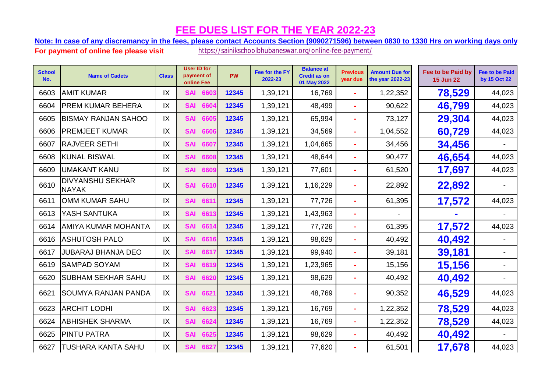**Note: In case of any discremancy in the fees, please contact Accounts Section (9090271596) between 0830 to 1330 Hrs on working days only.**

| <b>School</b><br>No. | <b>Name of Cadets</b>                   | <b>Class</b> | <b>User ID for</b><br>payment of<br>online Fee | <b>PW</b> | Fee for the FY<br>2022-23 | <b>Balance at</b><br><b>Credit as on</b><br>01 May 2022 | <b>Previous</b><br>year due | <b>Amount Due for</b><br>the year 2022-23 | Fee to be Paid by<br><b>15 Jun 22</b> | <b>Fee to be Paid</b><br>by 15 Oct 22 |
|----------------------|-----------------------------------------|--------------|------------------------------------------------|-----------|---------------------------|---------------------------------------------------------|-----------------------------|-------------------------------------------|---------------------------------------|---------------------------------------|
| 6603                 | <b>AMIT KUMAR</b>                       | IX           | <b>SAI</b><br>6603                             | 12345     | 1,39,121                  | 16,769                                                  |                             | 1,22,352                                  | 78,529                                | 44,023                                |
| 6604                 | PREM KUMAR BEHERA                       | IX           | 6604<br><b>SAI</b>                             | 12345     | 1,39,121                  | 48,499                                                  |                             | 90,622                                    | 46,799                                | 44,023                                |
| 6605                 | <b>BISMAY RANJAN SAHOO</b>              | IX           | <b>SAI</b><br>6605                             | 12345     | 1,39,121                  | 65,994                                                  |                             | 73,127                                    | 29,304                                | 44,023                                |
| 6606                 | <b>PREMJEET KUMAR</b>                   | IX           | <b>SAI</b><br>6606                             | 12345     | 1,39,121                  | 34,569                                                  |                             | 1,04,552                                  | 60,729                                | 44,023                                |
| 6607                 | <b>RAJVEER SETHI</b>                    | IX           | <b>SAI</b><br>6607                             | 12345     | 1,39,121                  | 1,04,665                                                |                             | 34,456                                    | 34,456                                |                                       |
| 6608                 | <b>KUNAL BISWAL</b>                     | IX           | <b>SAI</b><br>6608                             | 12345     | 1,39,121                  | 48,644                                                  |                             | 90,477                                    | 46,654                                | 44,023                                |
| 6609                 | <b>UMAKANT KANU</b>                     | IX           | 6609<br><b>SAI</b>                             | 12345     | 1,39,121                  | 77,601                                                  |                             | 61,520                                    | 17,697                                | 44,023                                |
| 6610                 | <b>DIVYANSHU SEKHAR</b><br><b>NAYAK</b> | IX           | <b>SAI</b><br>6610                             | 12345     | 1,39,121                  | 1,16,229                                                |                             | 22,892                                    | 22,892                                |                                       |
| 6611                 | <b>OMM KUMAR SAHU</b>                   | IX           | <b>SAI</b><br>6611                             | 12345     | 1,39,121                  | 77,726                                                  |                             | 61,395                                    | 17,572                                | 44,023                                |
| 6613                 | YASH SANTUKA                            | IX           | <b>SAI</b><br>6613                             | 12345     | 1,39,121                  | 1,43,963                                                |                             |                                           |                                       |                                       |
| 6614                 | <b>AMIYA KUMAR MOHANTA</b>              | IX           | <b>SAI</b><br>6614                             | 12345     | 1,39,121                  | 77,726                                                  |                             | 61,395                                    | 17,572                                | 44,023                                |
| 6616                 | <b>ASHUTOSH PALO</b>                    | IX           | 6616<br><b>SAI</b>                             | 12345     | 1,39,121                  | 98,629                                                  |                             | 40,492                                    | 40,492                                |                                       |
| 6617                 | <b>JUBARAJ BHANJA DEO</b>               | IX           | <b>SAI</b><br>6617                             | 12345     | 1,39,121                  | 99,940                                                  |                             | 39,181                                    | 39,181                                |                                       |
| 6619                 | <b>SAMPAD SOYAM</b>                     | IX           | 6619<br><b>SAI</b>                             | 12345     | 1,39,121                  | 1,23,965                                                |                             | 15,156                                    | 15,156                                |                                       |
| 6620                 | <b>SUBHAM SEKHAR SAHU</b>               | IX           | 6620<br><b>SAI</b>                             | 12345     | 1,39,121                  | 98,629                                                  |                             | 40,492                                    | 40,492                                |                                       |
| 6621                 | <b>SOUMYA RANJAN PANDA</b>              | IX           | <b>SAI</b><br>6621                             | 12345     | 1,39,121                  | 48,769                                                  |                             | 90,352                                    | 46,529                                | 44,023                                |
| 6623                 | <b>ARCHIT LODHI</b>                     | IX           | 6623<br><b>SAI</b>                             | 12345     | 1,39,121                  | 16,769                                                  |                             | 1,22,352                                  | 78,529                                | 44,023                                |
| 6624                 | <b>ABHISHEK SHARMA</b>                  | IX           | <b>SAI</b><br>6624                             | 12345     | 1,39,121                  | 16,769                                                  |                             | 1,22,352                                  | 78,529                                | 44,023                                |
| 6625                 | <b>PINTU PATRA</b>                      | IX           | <b>SAI</b><br>6625                             | 12345     | 1,39,121                  | 98,629                                                  |                             | 40,492                                    | 40,492                                |                                       |
| 6627                 | <b>TUSHARA KANTA SAHU</b>               | IX           | <b>SAI</b><br>6627                             | 12345     | 1,39,121                  | 77,620                                                  |                             | 61,501                                    | 17,678                                | 44,023                                |